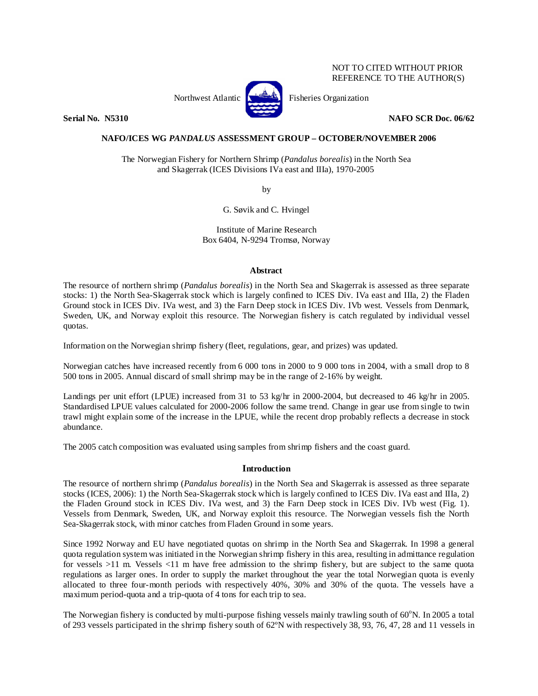# NOT TO CITED WITHOUT PRIOR REFERENCE TO THE AUTHOR(S)



Northwest Atlantic  $\left[\begin{matrix} 1 & 1 \\ 1 & 1 \end{matrix}\right]$  Fisheries Organization

**Serial No. 32310 NAFO SCR Doc. 06/62 NAFO SCR Doc. 06/62** 

# **NAFO/ICES WG** *PANDALUS* **ASSESSMENT GROUP – OCTOBER/NOVEMBER 2006**

The Norwegian Fishery for Northern Shrimp (*Pandalus borealis*) in the North Sea and Skagerrak (ICES Divisions IVa east and IIIa), 1970-2005

by

G. Søvik and C. Hvingel

Institute of Marine Research Box 6404, N-9294 Tromsø, Norway

#### **Abstract**

The resource of northern shrimp (*Pandalus borealis*) in the North Sea and Skagerrak is assessed as three separate stocks: 1) the North Sea-Skagerrak stock which is largely confined to ICES Div. IVa east and IIIa, 2) the Fladen Ground stock in ICES Div. IVa west, and 3) the Farn Deep stock in ICES Div. IVb west. Vessels from Denmark, Sweden, UK, and Norway exploit this resource. The Norwegian fishery is catch regulated by individual vessel quotas.

Information on the Norwegian shrimp fishery (fleet, regulations, gear, and prizes) was updated.

Norwegian catches have increased recently from 6 000 tons in 2000 to 9 000 tons in 2004, with a small drop to 8 500 tons in 2005. Annual discard of small shrimp may be in the range of 2-16% by weight.

Landings per unit effort (LPUE) increased from 31 to 53 kg/hr in 2000-2004, but decreased to 46 kg/hr in 2005. Standardised LPUE values calculated for 2000-2006 follow the same trend. Change in gear use from single to twin trawl might explain some of the increase in the LPUE, while the recent drop probably reflects a decrease in stock abundance.

The 2005 catch composition was evaluated using samples from shrimp fishers and the coast guard.

## **Introduction**

The resource of northern shrimp (*Pandalus borealis*) in the North Sea and Skagerrak is assessed as three separate stocks (ICES, 2006): 1) the North Sea-Skagerrak stock which is largely confined to ICES Div. IVa east and IIIa, 2) the Fladen Ground stock in ICES Div. IVa west, and 3) the Farn Deep stock in ICES Div. IVb west (Fig. 1). Vessels from Denmark, Sweden, UK, and Norway exploit this resource. The Norwegian vessels fish the North Sea-Skagerrak stock, with minor catches from Fladen Ground in some years.

Since 1992 Norway and EU have negotiated quotas on shrimp in the North Sea and Skagerrak. In 1998 a general quota regulation system was initiated in the Norwegian shrimp fishery in this area, resulting in admittance regulation for vessels >11 m. Vessels <11 m have free admission to the shrimp fishery, but are subject to the same quota regulations as larger ones. In order to supply the market throughout the year the total Norwegian quota is evenly allocated to three four-month periods with respectively 40%, 30% and 30% of the quota. The vessels have a maximum period-quota and a trip-quota of 4 tons for each trip to sea.

The Norwegian fishery is conducted by multi-purpose fishing vessels mainly trawling south of 60°N. In 2005 a total of 293 vessels participated in the shrimp fishery south of 62ºN with respectively 38, 93, 76, 47, 28 and 11 vessels in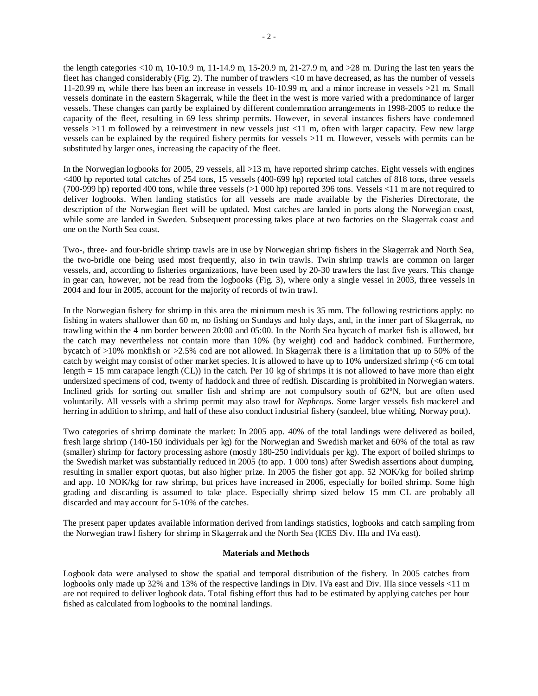the length categories <10 m, 10-10.9 m, 11-14.9 m, 15-20.9 m, 21-27.9 m, and >28 m. During the last ten years the fleet has changed considerably (Fig. 2). The number of trawlers <10 m have decreased, as has the number of vessels 11-20.99 m, while there has been an increase in vessels 10-10.99 m, and a minor increase in vessels >21 m. Small vessels dominate in the eastern Skagerrak, while the fleet in the west is more varied with a predominance of larger vessels. These changes can partly be explained by different condemnation arrangements in 1998-2005 to reduce the capacity of the fleet, resulting in 69 less shrimp permits. However, in several instances fishers have condemned vessels >11 m followed by a reinvestment in new vessels just <11 m, often with larger capacity. Few new large vessels can be explained by the required fishery permits for vessels >11 m. However, vessels with permits can be substituted by larger ones, increasing the capacity of the fleet.

In the Norwegian logbooks for 2005, 29 vessels, all >13 m, have reported shrimp catches. Eight vessels with engines <400 hp reported total catches of 254 tons, 15 vessels (400-699 hp) reported total catches of 818 tons, three vessels (700-999 hp) reported 400 tons, while three vessels (>1 000 hp) reported 396 tons. Vessels <11 m are not required to deliver logbooks. When landing statistics for all vessels are made available by the Fisheries Directorate, the description of the Norwegian fleet will be updated. Most catches are landed in ports along the Norwegian coast, while some are landed in Sweden. Subsequent processing takes place at two factories on the Skagerrak coast and one on the North Sea coast.

Two-, three- and four-bridle shrimp trawls are in use by Norwegian shrimp fishers in the Skagerrak and North Sea, the two-bridle one being used most frequently, also in twin trawls. Twin shrimp trawls are common on larger vessels, and, according to fisheries organizations, have been used by 20-30 trawlers the last five years. This change in gear can, however, not be read from the logbooks (Fig. 3), where only a single vessel in 2003, three vessels in 2004 and four in 2005, account for the majority of records of twin trawl.

In the Norwegian fishery for shrimp in this area the minimum mesh is 35 mm. The following restrictions apply: no fishing in waters shallower than 60 m, no fishing on Sundays and holy days, and, in the inner part of Skagerrak, no trawling within the 4 nm border between 20:00 and 05:00. In the North Sea bycatch of market fish is allowed, but the catch may nevertheless not contain more than 10% (by weight) cod and haddock combined. Furthermore, bycatch of >10% monkfish or >2.5% cod are not allowed. In Skagerrak there is a limitation that up to 50% of the catch by weight may consist of other market species. It is allowed to have up to 10% undersized shrimp (<6 cm total length = 15 mm carapace length (CL)) in the catch. Per 10 kg of shrimps it is not allowed to have more than eight undersized specimens of cod, twenty of haddock and three of redfish. Discarding is prohibited in Norwegian waters. Inclined grids for sorting out smaller fish and shrimp are not compulsory south of 62ºN, but are often used voluntarily. All vessels with a shrimp permit may also trawl for *Nephrops*. Some larger vessels fish mackerel and herring in addition to shrimp, and half of these also conduct industrial fishery (sandeel, blue whiting, Norway pout).

Two categories of shrimp dominate the market: In 2005 app. 40% of the total landings were delivered as boiled, fresh large shrimp (140-150 individuals per kg) for the Norwegian and Swedish market and 60% of the total as raw (smaller) shrimp for factory processing ashore (mostly 180-250 individuals per kg). The export of boiled shrimps to the Swedish market was substantially reduced in 2005 (to app. 1 000 tons) after Swedish assertions about dumping, resulting in smaller export quotas, but also higher prize. In 2005 the fisher got app. 52 NOK/kg for boiled shrimp and app. 10 NOK/kg for raw shrimp, but prices have increased in 2006, especially for boiled shrimp. Some high grading and discarding is assumed to take place. Especially shrimp sized below 15 mm CL are probably all discarded and may account for 5-10% of the catches.

The present paper updates available information derived from landings statistics, logbooks and catch sampling from the Norwegian trawl fishery for shrimp in Skagerrak and the North Sea (ICES Div. IIIa and IVa east).

### **Materials and Methods**

Logbook data were analysed to show the spatial and temporal distribution of the fishery. In 2005 catches from logbooks only made up 32% and 13% of the respective landings in Div. IVa east and Div. IIIa since vessels <11 m are not required to deliver logbook data. Total fishing effort thus had to be estimated by applying catches per hour fished as calculated from logbooks to the nominal landings.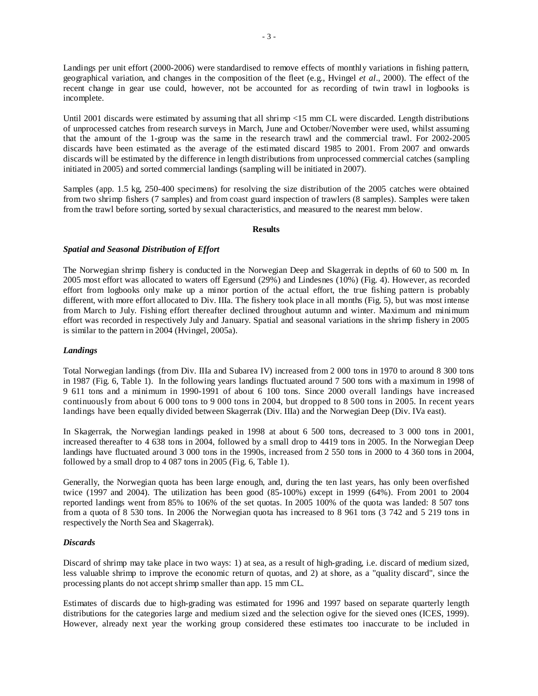Landings per unit effort (2000-2006) were standardised to remove effects of monthly variations in fishing pattern, geographical variation, and changes in the composition of the fleet (e.g., Hvingel *et al*., 2000). The effect of the recent change in gear use could, however, not be accounted for as recording of twin trawl in logbooks is incomplete.

Until 2001 discards were estimated by assuming that all shrimp <15 mm CL were discarded. Length distributions of unprocessed catches from research surveys in March, June and October/November were used, whilst assuming that the amount of the 1-group was the same in the research trawl and the commercial trawl. For 2002-2005 discards have been estimated as the average of the estimated discard 1985 to 2001. From 2007 and onwards discards will be estimated by the difference in length distributions from unprocessed commercial catches (sampling initiated in 2005) and sorted commercial landings (sampling will be initiated in 2007).

Samples (app. 1.5 kg, 250-400 specimens) for resolving the size distribution of the 2005 catches were obtained from two shrimp fishers (7 samples) and from coast guard inspection of trawlers (8 samples). Samples were taken from the trawl before sorting, sorted by sexual characteristics, and measured to the nearest mm below.

#### **Results**

# *Spatial and Seasonal Distribution of Effort*

The Norwegian shrimp fishery is conducted in the Norwegian Deep and Skagerrak in depths of 60 to 500 m. In 2005 most effort was allocated to waters off Egersund (29%) and Lindesnes (10%) (Fig. 4). However, as recorded effort from logbooks only make up a minor portion of the actual effort, the true fishing pattern is probably different, with more effort allocated to Div. IIIa. The fishery took place in all months (Fig. 5), but was most intense from March to July. Fishing effort thereafter declined throughout autumn and winter. Maximum and minimum effort was recorded in respectively July and January. Spatial and seasonal variations in the shrimp fishery in 2005 is similar to the pattern in 2004 (Hvingel, 2005a).

## *Landings*

Total Norwegian landings (from Div. IIIa and Subarea IV) increased from 2 000 tons in 1970 to around 8 300 tons in 1987 (Fig. 6, Table 1). In the following years landings fluctuated around 7 500 tons with a maximum in 1998 of 9 611 tons and a minimum in 1990-1991 of about 6 100 tons. Since 2000 overall landings have increased continuously from about 6 000 tons to 9 000 tons in 2004, but dropped to 8 500 tons in 2005. In recent years landings have been equally divided between Skagerrak (Div. IIIa) and the Norwegian Deep (Div. IVa east).

In Skagerrak, the Norwegian landings peaked in 1998 at about 6 500 tons, decreased to 3 000 tons in 2001, increased thereafter to 4 638 tons in 2004, followed by a small drop to 4419 tons in 2005. In the Norwegian Deep landings have fluctuated around 3 000 tons in the 1990s, increased from 2 550 tons in 2000 to 4 360 tons in 2004, followed by a small drop to 4 087 tons in 2005 (Fig. 6, Table 1).

Generally, the Norwegian quota has been large enough, and, during the ten last years, has only been overfished twice (1997 and 2004). The utilization has been good (85-100%) except in 1999 (64%). From 2001 to 2004 reported landings went from 85% to 106% of the set quotas. In 2005 100% of the quota was landed: 8 507 tons from a quota of 8 530 tons. In 2006 the Norwegian quota has increased to 8 961 tons (3 742 and 5 219 tons in respectively the North Sea and Skagerrak).

### *Discards*

Discard of shrimp may take place in two ways: 1) at sea, as a result of high-grading, i.e. discard of medium sized, less valuable shrimp to improve the economic return of quotas, and 2) at shore, as a "quality discard", since the processing plants do not accept shrimp smaller than app. 15 mm CL.

Estimates of discards due to high-grading was estimated for 1996 and 1997 based on separate quarterly length distributions for the categories large and medium sized and the selection ogive for the sieved ones (ICES, 1999). However, already next year the working group considered these estimates too inaccurate to be included in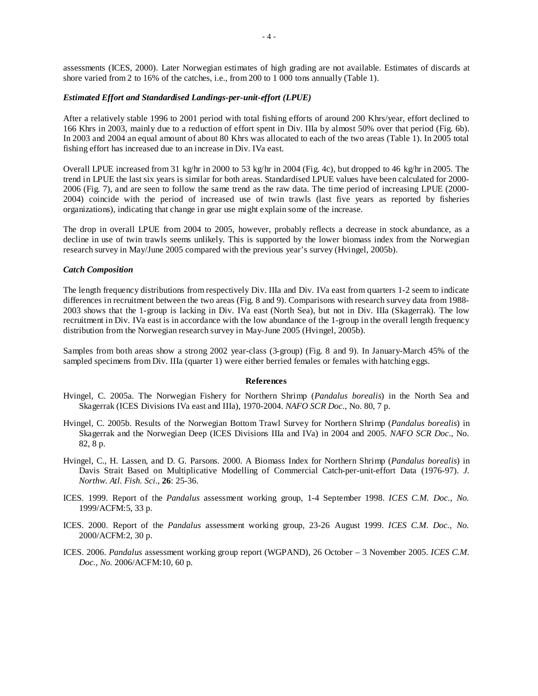assessments (ICES, 2000). Later Norwegian estimates of high grading are not available. Estimates of discards at shore varied from 2 to 16% of the catches, i.e., from 200 to 1 000 tons annually (Table 1).

#### *Estimated Effort and Standardised Landings-per-unit-effort (LPUE)*

After a relatively stable 1996 to 2001 period with total fishing efforts of around 200 Khrs/year, effort declined to 166 Khrs in 2003, mainly due to a reduction of effort spent in Div. IIIa by almost 50% over that period (Fig. 6b). In 2003 and 2004 an equal amount of about 80 Khrs was allocated to each of the two areas (Table 1). In 2005 total fishing effort has increased due to an increase in Div. IVa east.

Overall LPUE increased from 31 kg/hr in 2000 to 53 kg/hr in 2004 (Fig. 4c), but dropped to 46 kg/hr in 2005. The trend in LPUE the last six years is similar for both areas. Standardised LPUE values have been calculated for 2000- 2006 (Fig. 7), and are seen to follow the same trend as the raw data. The time period of increasing LPUE (2000- 2004) coincide with the period of increased use of twin trawls (last five years as reported by fisheries organizations), indicating that change in gear use might explain some of the increase.

The drop in overall LPUE from 2004 to 2005, however, probably reflects a decrease in stock abundance, as a decline in use of twin trawls seems unlikely. This is supported by the lower biomass index from the Norwegian research survey in May/June 2005 compared with the previous year's survey (Hvingel, 2005b).

#### *Catch Composition*

The length frequency distributions from respectively Div. IIIa and Div. IVa east from quarters 1-2 seem to indicate differences in recruitment between the two areas (Fig. 8 and 9). Comparisons with research survey data from 1988- 2003 shows that the 1-group is lacking in Div. IVa east (North Sea), but not in Div. IIIa (Skagerrak). The low recruitment in Div. IVa east is in accordance with the low abundance of the 1-group in the overall length frequency distribution from the Norwegian research survey in May-June 2005 (Hvingel, 2005b).

Samples from both areas show a strong 2002 year-class (3-group) (Fig. 8 and 9). In January-March 45% of the sampled specimens from Div. IIIa (quarter 1) were either berried females or females with hatching eggs.

#### **References**

- Hvingel, C. 2005a. The Norwegian Fishery for Northern Shrimp (*Pandalus borealis*) in the North Sea and Skagerrak (ICES Divisions IVa east and IIIa), 1970-2004. *NAFO SCR Doc*., No. 80, 7 p.
- Hvingel, C. 2005b. Results of the Norwegian Bottom Trawl Survey for Northern Shrimp (*Pandalus borealis*) in Skagerrak and the Norwegian Deep (ICES Divisions IIIa and IVa) in 2004 and 2005. *NAFO SCR Doc*., No. 82, 8 p.
- Hvingel, C., H. Lassen, and D. G. Parsons. 2000. A Biomass Index for Northern Shrimp (*Pandalus borealis*) in Davis Strait Based on Multiplicative Modelling of Commercial Catch-per-unit-effort Data (1976-97). *J. Northw. Atl. Fish. Sci*., **26**: 25-36.
- ICES. 1999. Report of the *Pandalus* assessment working group, 1-4 September 1998. *ICES C.M. Doc., No.*  1999/ACFM:5, 33 p.
- ICES. 2000. Report of the *Pandalus* assessment working group, 23-26 August 1999. *ICES C.M. Doc., No.*  2000/ACFM:2, 30 p.
- ICES. 2006. *Pandalus* assessment working group report (WGPAND), 26 October 3 November 2005. *ICES C.M. Doc., No.* 2006/ACFM:10, 60 p.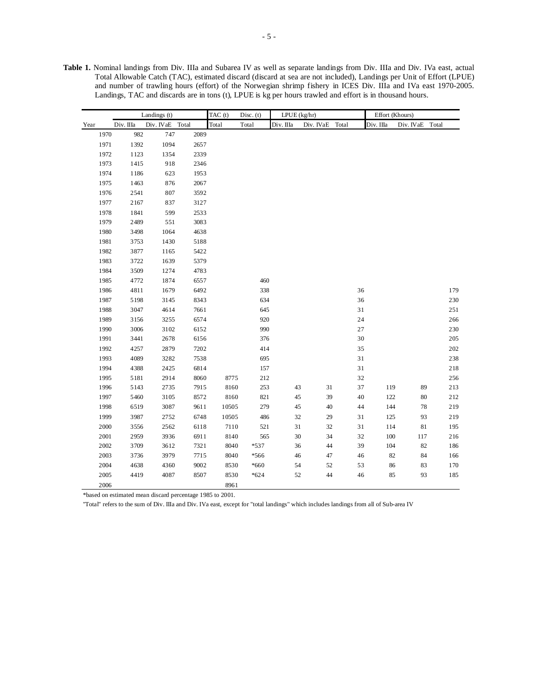**Table 1.** Nominal landings from Div. IIIa and Subarea IV as well as separate landings from Div. IIIa and Div. IVa east, actual Total Allowable Catch (TAC), estimated discard (discard at sea are not included), Landings per Unit of Effort (LPUE) and number of trawling hours (effort) of the Norwegian shrimp fishery in ICES Div. IIIa and IVa east 1970-2005. Landings, TAC and discards are in tons (t), LPUE is kg per hours trawled and effort is in thousand hours.

|      |      |           | Landings (t)    |      | TAC (t)<br>Disc. $(t)$ |        | $LPUE$ (kg/hr) |           |       |             | Effort (Khours) |           |       |              |
|------|------|-----------|-----------------|------|------------------------|--------|----------------|-----------|-------|-------------|-----------------|-----------|-------|--------------|
| Year |      | Div. IIIa | Div. IVaE Total |      | Total                  | Total  | Div. IIIa      | Div. IVaE | Total |             | Div. Illa       | Div. IVaE | Total |              |
|      | 1970 | 982       | 747             | 2089 |                        |        |                |           |       |             |                 |           |       |              |
|      | 1971 | 1392      | 1094            | 2657 |                        |        |                |           |       |             |                 |           |       |              |
|      | 1972 | 1123      | 1354            | 2339 |                        |        |                |           |       |             |                 |           |       |              |
|      | 1973 | 1415      | 918             | 2346 |                        |        |                |           |       |             |                 |           |       |              |
|      | 1974 | 1186      | 623             | 1953 |                        |        |                |           |       |             |                 |           |       |              |
|      | 1975 | 1463      | 876             | 2067 |                        |        |                |           |       |             |                 |           |       |              |
|      | 1976 | 2541      | 807             | 3592 |                        |        |                |           |       |             |                 |           |       |              |
|      | 1977 | 2167      | 837             | 3127 |                        |        |                |           |       |             |                 |           |       |              |
|      | 1978 | 1841      | 599             | 2533 |                        |        |                |           |       |             |                 |           |       |              |
|      | 1979 | 2489      | 551             | 3083 |                        |        |                |           |       |             |                 |           |       |              |
|      | 1980 | 3498      | 1064            | 4638 |                        |        |                |           |       |             |                 |           |       |              |
|      | 1981 | 3753      | 1430            | 5188 |                        |        |                |           |       |             |                 |           |       |              |
|      | 1982 | 3877      | 1165            | 5422 |                        |        |                |           |       |             |                 |           |       |              |
|      | 1983 | 3722      | 1639            | 5379 |                        |        |                |           |       |             |                 |           |       |              |
|      | 1984 | 3509      | 1274            | 4783 |                        |        |                |           |       |             |                 |           |       |              |
|      | 1985 | 4772      | 1874            | 6557 |                        | 460    |                |           |       |             |                 |           |       |              |
|      | 1986 | 4811      | 1679            | 6492 |                        | 338    |                |           |       | 36          |                 |           |       | 179          |
|      | 1987 | 5198      | 3145            | 8343 |                        | 634    |                |           |       | 36          |                 |           |       | 230          |
|      | 1988 | 3047      | 4614            | 7661 |                        | 645    |                |           |       | $3\sqrt{1}$ |                 |           |       | $251\,$      |
|      | 1989 | 3156      | 3255            | 6574 |                        | 920    |                |           |       | 24          |                 |           |       | 266          |
|      | 1990 | 3006      | 3102            | 6152 |                        | 990    |                |           |       | 27          |                 |           |       | 230          |
|      | 1991 | 3441      | 2678            | 6156 |                        | 376    |                |           |       | 30          |                 |           |       | 205          |
|      | 1992 | 4257      | 2879            | 7202 |                        | 414    |                |           |       | 35          |                 |           |       | $202\,$      |
|      | 1993 | 4089      | 3282            | 7538 |                        | 695    |                |           |       | 31          |                 |           |       | 238          |
|      | 1994 | 4388      | 2425            | 6814 |                        | 157    |                |           |       | $3\sqrt{1}$ |                 |           |       | 218          |
|      | 1995 | 5181      | 2914            | 8060 | 8775                   | 212    |                |           |       | 32          |                 |           |       | 256          |
|      | 1996 | 5143      | 2735            | 7915 | 8160                   | 253    | 43             | $31\,$    |       | 37          | 119             | 89        |       | 213          |
|      | 1997 | 5460      | 3105            | 8572 | 8160                   | 821    | 45             | 39        |       | 40          | 122             | 80        |       | 212          |
|      | 1998 | 6519      | 3087            | 9611 | 10505                  | 279    | 45             | 40        |       | 44          | 144             | 78        |       | 219          |
|      | 1999 | 3987      | 2752            | 6748 | 10505                  | 486    | 32             | 29        |       | $3\sqrt{1}$ | 125             | 93        |       | 219          |
|      | 2000 | 3556      | 2562            | 6118 | 7110                   | 521    | 31             | 32        |       | 31          | 114             | 81        |       | 195          |
|      | 2001 | 2959      | 3936            | 6911 | 8140                   | 565    | 30             | 34        |       | 32          | 100             | 117       |       | $2\sqrt{16}$ |
|      | 2002 | 3709      | 3612            | 7321 | 8040                   | $*537$ | 36             | 44        |       | 39          | 104             | 82        |       | 186          |
|      | 2003 | 3736      | 3979            | 7715 | 8040                   | *566   | 46             | 47        |       | 46          | 82              | 84        |       | 166          |
|      | 2004 | 4638      | 4360            | 9002 | 8530                   | *660   | 54             | 52        |       | 53          |                 | 86<br>83  |       | 170          |
|      | 2005 | 4419      | 4087            | 8507 | 8530                   | $*624$ | 52             | 44        |       | 46          |                 | 85<br>93  |       | 185          |
|      | 2006 |           |                 |      | 8961                   |        |                |           |       |             |                 |           |       |              |

\*based on estimated mean discard percentage 1985 to 2001.

"Total" refers to the sum of Div. IIIa and Div. IVa east, except for "total landings" which includes landings from all of Sub-area IV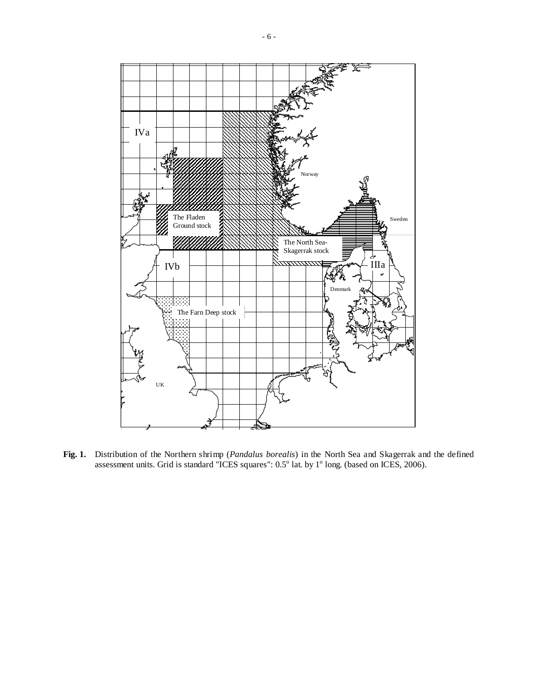

**Fig. 1.** Distribution of the Northern shrimp (*Pandalus borealis*) in the North Sea and Skagerrak and the defined assessment units. Grid is standard "ICES squares":  $0.5^{\circ}$  lat. by  $1^{\circ}$  long. (based on ICES, 2006).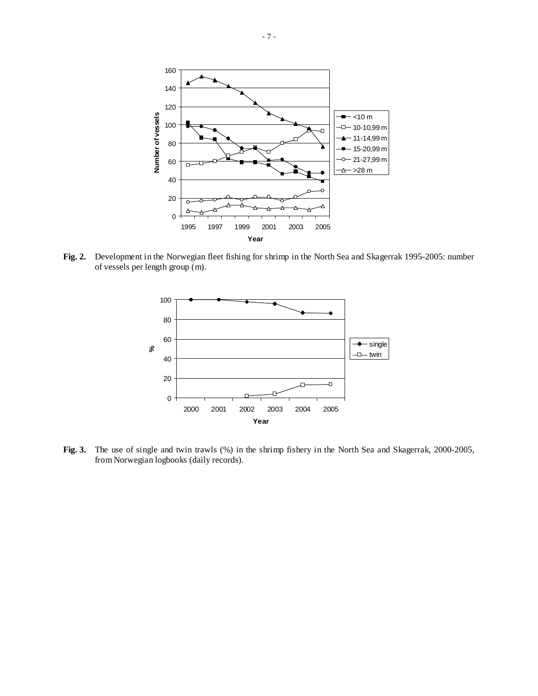

**Fig. 2.** Development in the Norwegian fleet fishing for shrimp in the North Sea and Skagerrak 1995-2005: number of vessels per length group (m).



**Fig. 3.** The use of single and twin trawls (%) in the shrimp fishery in the North Sea and Skagerrak, 2000-2005, from Norwegian logbooks (daily records).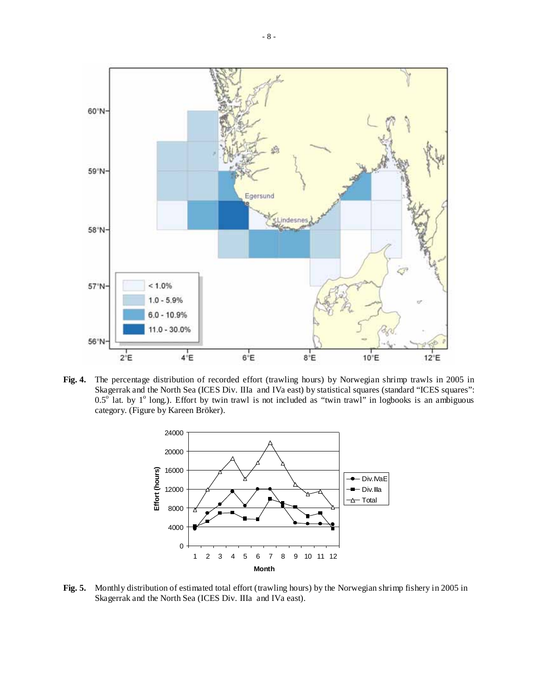

**Fig. 4.** The percentage distribution of recorded effort (trawling hours) by Norwegian shrimp trawls in 2005 in Skagerrak and the North Sea (ICES Div. IIIa and IVa east) by statistical squares (standard "ICES squares":  $0.5^{\circ}$  lat. by 1<sup>o</sup> long.). Effort by twin trawl is not included as "twin trawl" in logbooks is an ambiguous category. (Figure by Kareen Bröker).



**Fig. 5.** Monthly distribution of estimated total effort (trawling hours) by the Norwegian shrimp fishery in 2005 in Skagerrak and the North Sea (ICES Div. IIIa and IVa east).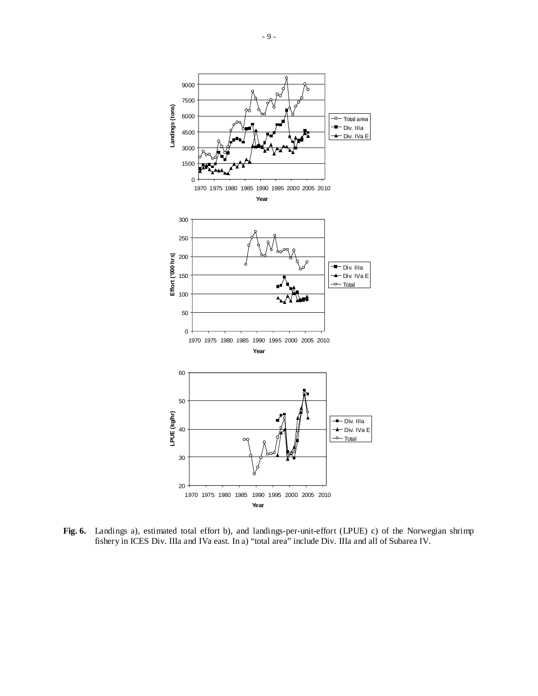

**Fig. 6.** Landings a), estimated total effort b), and landings-per-unit-effort (LPUE) c) of the Norwegian shrimp fishery in ICES Div. IIIa and IVa east. In a) "total area" include Div. IIIa and all of Subarea IV.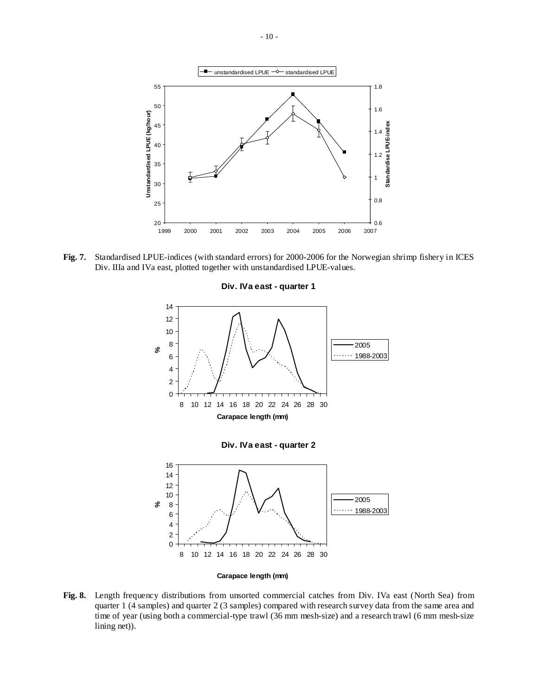

**Fig. 7.** Standardised LPUE-indices (with standard errors) for 2000-2006 for the Norwegian shrimp fishery in ICES Div. IIIa and IVa east, plotted together with unstandardised LPUE-values.

#### **Div. IVa east - quarter 1**



**Fig. 8.** Length frequency distributions from unsorted commercial catches from Div. IVa east (North Sea) from quarter 1 (4 samples) and quarter 2 (3 samples) compared with research survey data from the same area and time of year (using both a commercial-type trawl (36 mm mesh-size) and a research trawl (6 mm mesh-size lining net)).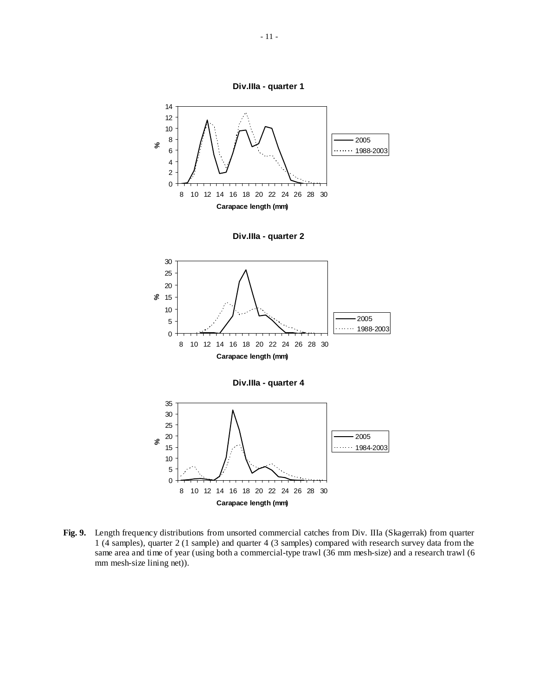



 $\overline{0}$ 8 10 12 14 16 18 20 22 24 26 28 30 **Carapace length (mm) Fig. 9.** Length frequency distributions from unsorted commercial catches from Div. IIIa (Skagerrak) from quarter

5 10

1 (4 samples), quarter 2 (1 sample) and quarter 4 (3 samples) compared with research survey data from the same area and time of year (using both a commercial-type trawl (36 mm mesh-size) and a research trawl (6 mm mesh-size lining net)).